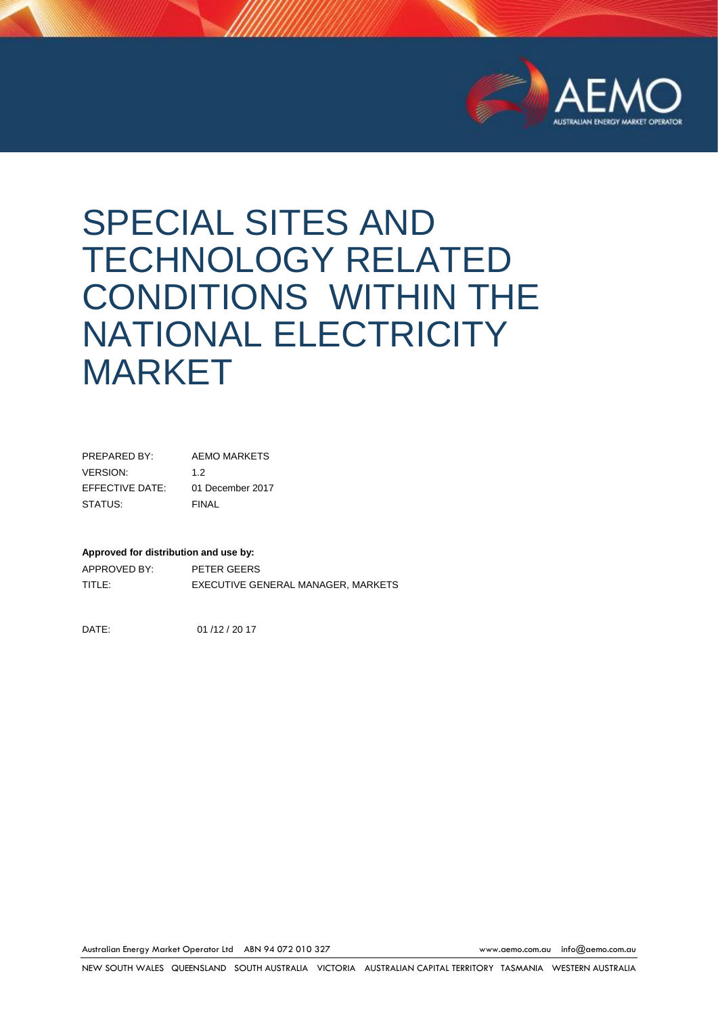

# SPECIAL SITES AND TECHNOLOGY RELATED CONDITIONS WITHIN THE NATIONAL ELECTRICITY MARKET

| PRFPARFD BY:    | <b>AEMO MARKETS</b> |
|-----------------|---------------------|
| VERSION:        | 1.2                 |
| EFFECTIVE DATE: | 01 December 2017    |
| STATUS:         | FINAL               |

#### **Approved for distribution and use by:**

APPROVED BY: PETER GEERS TITLE: EXECUTIVE GENERAL MANAGER, MARKETS

DATE: 01 /12 / 20 17

Australian Energy Market Operator Ltd ABN 94 072 010 327 [www.aemo.com.au](http://www.aemo.com.au/) [info@aemo.com.au](mailto:info@aemo.com.au)

NEW SOUTH WALES QUEENSLAND SOUTH AUSTRALIA VICTORIA AUSTRALIAN CAPITAL TERRITORY TASMANIA WESTERN AUSTRALIA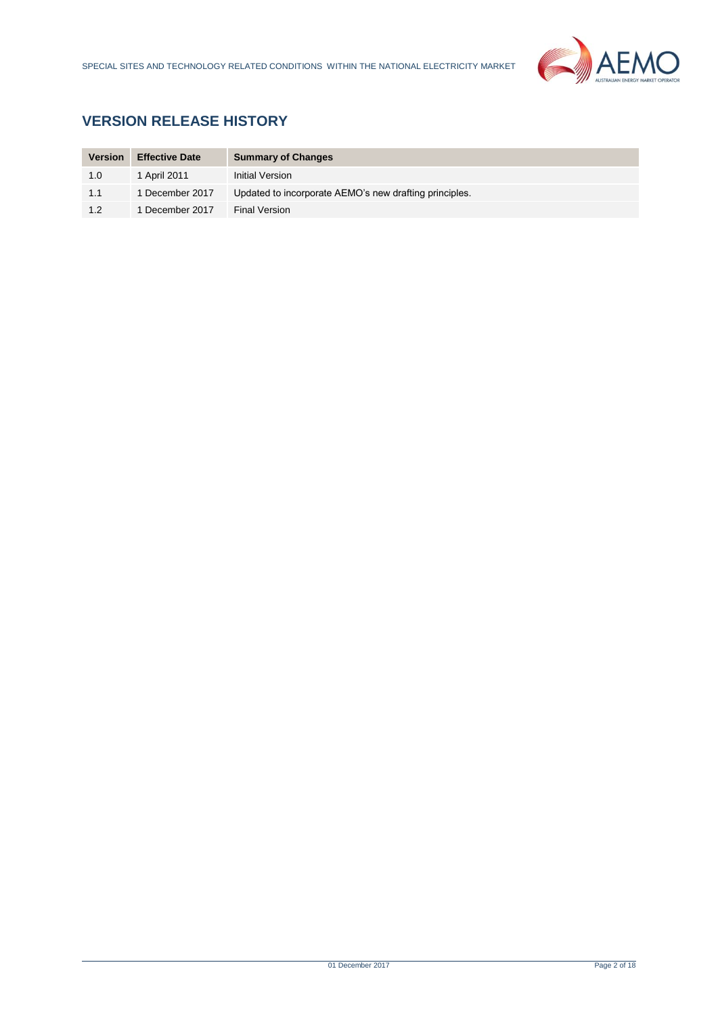

# **VERSION RELEASE HISTORY**

| <b>Version</b> | <b>Effective Date</b> | <b>Summary of Changes</b>                              |
|----------------|-----------------------|--------------------------------------------------------|
| 1.0            | 1 April 2011          | Initial Version                                        |
| 1.1            | 1 December 2017       | Updated to incorporate AEMO's new drafting principles. |
| 1.2            | 1 December 2017       | Final Version                                          |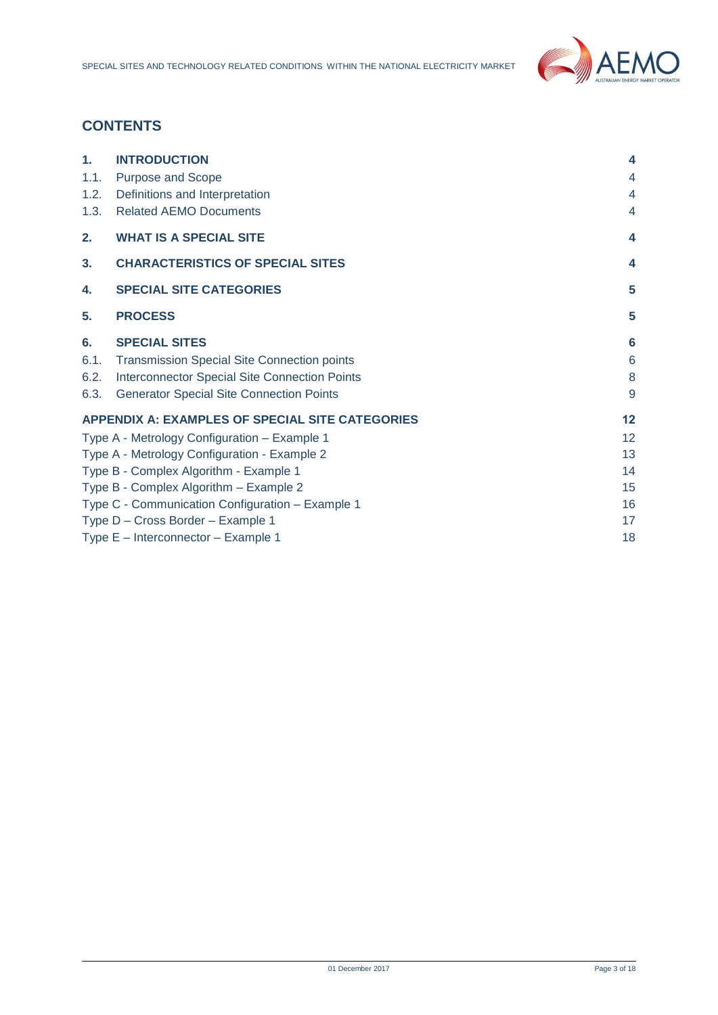

# **CONTENTS**

| 1.   | <b>INTRODUCTION</b>                                    | 4  |
|------|--------------------------------------------------------|----|
| 1.1. | Purpose and Scope                                      | 4  |
| 1.2. | Definitions and Interpretation                         | 4  |
| 1.3. | <b>Related AEMO Documents</b>                          | 4  |
| 2.   | <b>WHAT IS A SPECIAL SITE</b>                          | 4  |
| 3.   | <b>CHARACTERISTICS OF SPECIAL SITES</b>                | 4  |
| 4.   | <b>SPECIAL SITE CATEGORIES</b>                         | 5  |
| 5.   | <b>PROCESS</b>                                         | 5  |
| 6.   | <b>SPECIAL SITES</b>                                   | 6  |
| 6.1. | <b>Transmission Special Site Connection points</b>     | 6  |
| 6.2. | Interconnector Special Site Connection Points          | 8  |
| 6.3. | <b>Generator Special Site Connection Points</b>        | 9  |
|      | <b>APPENDIX A: EXAMPLES OF SPECIAL SITE CATEGORIES</b> | 12 |
|      | Type A - Metrology Configuration - Example 1           | 12 |
|      | Type A - Metrology Configuration - Example 2           | 13 |
|      | Type B - Complex Algorithm - Example 1                 | 14 |
|      | Type B - Complex Algorithm - Example 2                 | 15 |
|      | Type C - Communication Configuration - Example 1       | 16 |
|      | Type D - Cross Border - Example 1                      | 17 |
|      | Type E - Interconnector - Example 1                    | 18 |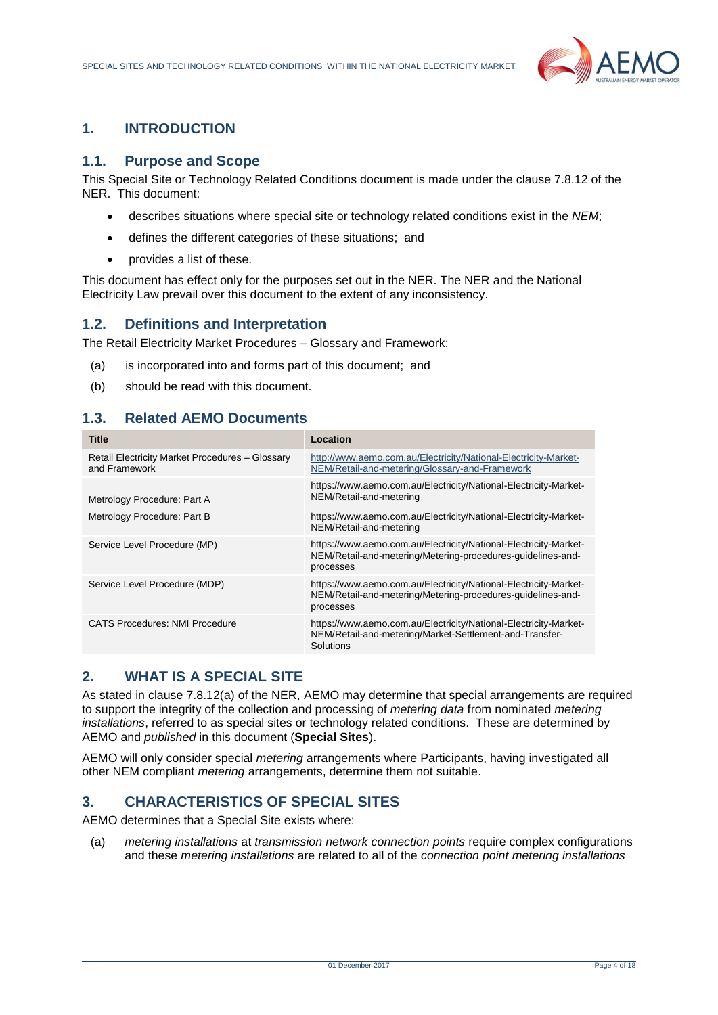

# <span id="page-3-0"></span>**1. INTRODUCTION**

## <span id="page-3-1"></span>**1.1. Purpose and Scope**

This Special Site or Technology Related Conditions document is made under the clause 7.8.12 of the NER. This document:

- describes situations where special site or technology related conditions exist in the *NEM*;
- defines the different categories of these situations; and
- provides a list of these.

This document has effect only for the purposes set out in the NER. The NER and the National Electricity Law prevail over this document to the extent of any inconsistency.

# <span id="page-3-2"></span>**1.2. Definitions and Interpretation**

The Retail Electricity Market Procedures – Glossary and Framework:

- (a) is incorporated into and forms part of this document; and
- (b) should be read with this document.

# <span id="page-3-3"></span>**1.3. Related AEMO Documents**

| <b>Title</b>                                                     | Location                                                                                                                                     |
|------------------------------------------------------------------|----------------------------------------------------------------------------------------------------------------------------------------------|
| Retail Electricity Market Procedures - Glossary<br>and Framework | http://www.aemo.com.au/Electricity/National-Electricity-Market-<br>NEM/Retail-and-metering/Glossary-and-Framework                            |
| Metrology Procedure: Part A                                      | https://www.aemo.com.au/Electricity/National-Electricity-Market-<br>NEM/Retail-and-metering                                                  |
| Metrology Procedure: Part B                                      | https://www.aemo.com.au/Electricity/National-Electricity-Market-<br>NEM/Retail-and-metering                                                  |
| Service Level Procedure (MP)                                     | https://www.aemo.com.au/Electricity/National-Electricity-Market-<br>NEM/Retail-and-metering/Metering-procedures-guidelines-and-<br>processes |
| Service Level Procedure (MDP)                                    | https://www.aemo.com.au/Electricity/National-Electricity-Market-<br>NEM/Retail-and-metering/Metering-procedures-guidelines-and-<br>processes |
| <b>CATS Procedures: NMI Procedure</b>                            | https://www.aemo.com.au/Electricity/National-Electricity-Market-<br>NEM/Retail-and-metering/Market-Settlement-and-Transfer-<br>Solutions     |

# <span id="page-3-4"></span>**2. WHAT IS A SPECIAL SITE**

As stated in clause 7.8.12(a) of the NER, AEMO may determine that special arrangements are required to support the integrity of the collection and processing of *metering data* from nominated *metering installations*, referred to as special sites or technology related conditions. These are determined by AEMO and *published* in this document (**Special Sites**).

AEMO will only consider special *metering* arrangements where Participants, having investigated all other NEM compliant *metering* arrangements, determine them not suitable.

# <span id="page-3-5"></span>**3. CHARACTERISTICS OF SPECIAL SITES**

AEMO determines that a Special Site exists where:

(a) *metering installations* at *transmission network connection points* require complex configurations and these *metering installations* are related to all of the *connection point metering installations*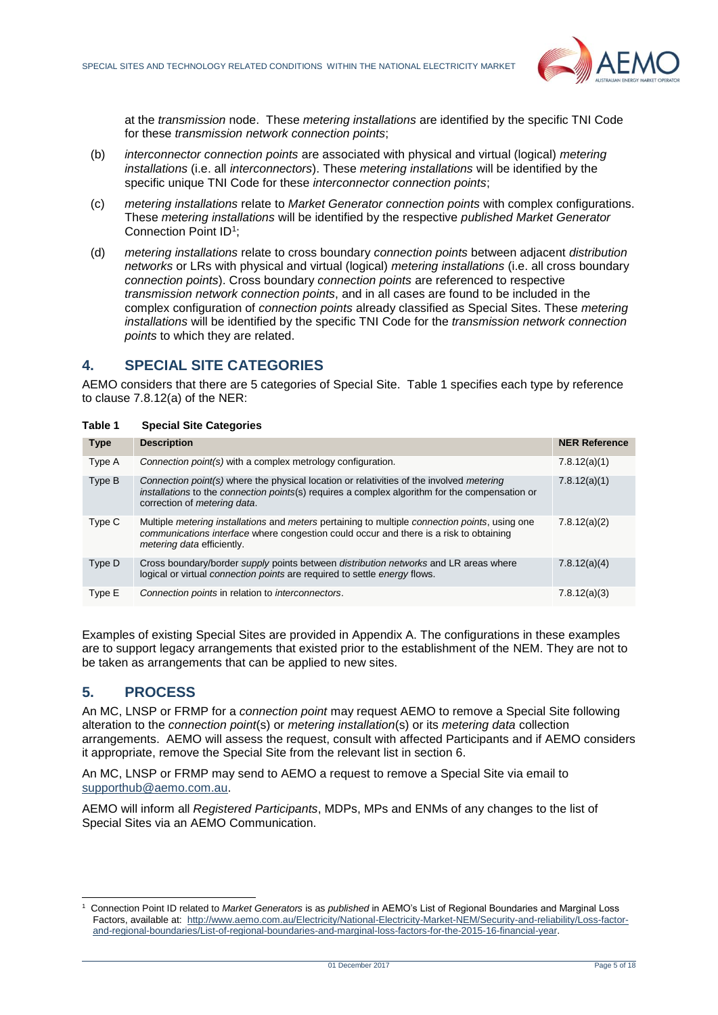

at the *transmission* node. These *metering installations* are identified by the specific TNI Code for these *transmission network connection points*;

- (b) *interconnector connection points* are associated with physical and virtual (logical) *metering installations* (i.e. all *interconnectors*). These *metering installations* will be identified by the specific unique TNI Code for these *interconnector connection points*;
- (c) *metering installations* relate to *Market Generator connection points* with complex configurations. These *metering installations* will be identified by the respective *published Market Generator* Connection Point ID<sup>1</sup>;
- (d) *metering installations* relate to cross boundary *connection points* between adjacent *distribution networks* or LRs with physical and virtual (logical) *metering installations* (i.e. all cross boundary *connection points*). Cross boundary *connection points* are referenced to respective *transmission network connection points*, and in all cases are found to be included in the complex configuration of *connection points* already classified as Special Sites. These *metering installations* will be identified by the specific TNI Code for the *transmission network connection points* to which they are related.

# <span id="page-4-0"></span>**4. SPECIAL SITE CATEGORIES**

AEMO considers that there are 5 categories of Special Site. Table 1 specifies each type by reference to clause 7.8.12(a) of the NER:

| Table 1 | <b>Special Site Categories</b> |  |
|---------|--------------------------------|--|
|         |                                |  |

| <b>Type</b> | <b>Description</b>                                                                                                                                                                                                                           | <b>NER Reference</b> |
|-------------|----------------------------------------------------------------------------------------------------------------------------------------------------------------------------------------------------------------------------------------------|----------------------|
| Type A      | Connection point(s) with a complex metrology configuration.                                                                                                                                                                                  | 7.8.12(a)(1)         |
| Type B      | Connection point(s) where the physical location or relativities of the involved metering<br>installations to the connection points(s) requires a complex algorithm for the compensation or<br>correction of <i>metering data</i> .           | 7.8.12(a)(1)         |
| Type C      | Multiple <i>metering installations</i> and <i>meters</i> pertaining to multiple <i>connection points</i> , using one<br>communications interface where congestion could occur and there is a risk to obtaining<br>metering data efficiently. | 7.8.12(a)(2)         |
| Type D      | Cross boundary/border <i>supply</i> points between <i>distribution networks</i> and LR areas where<br>logical or virtual connection points are required to settle energy flows.                                                              | 7.8.12(a)(4)         |
| Type E      | Connection points in relation to interconnectors.                                                                                                                                                                                            | 7.8.12(a)(3)         |

Examples of existing Special Sites are provided in Appendix A. The configurations in these examples are to support legacy arrangements that existed prior to the establishment of the NEM. They are not to be taken as arrangements that can be applied to new sites.

# <span id="page-4-1"></span>**5. PROCESS**

An MC, LNSP or FRMP for a *connection point* may request AEMO to remove a Special Site following alteration to the *connection point*(s) or *metering installation*(s) or its *metering data* collection arrangements. AEMO will assess the request, consult with affected Participants and if AEMO considers it appropriate, remove the Special Site from the relevant list in section 6.

An MC, LNSP or FRMP may send to AEMO a request to remove a Special Site via email to [supporthub@aemo.com.au.](mailto:supporthub@aemo.com.au)

AEMO will inform all *Registered Participants*, MDPs, MPs and ENMs of any changes to the list of Special Sites via an AEMO Communication.

l 1 Connection Point ID related to *Market Generators* is as *published* in AEMO's List of Regional Boundaries and Marginal Loss Factors, available at: [http://www.aemo.com.au/Electricity/National-Electricity-Market-NEM/Security-and-reliability/Loss-factor](http://www.aemo.com.au/Electricity/National-Electricity-Market-NEM/Security-and-reliability/Loss-factor-and-regional-boundaries/List-of-regional-boundaries-and-marginal-loss-factors-for-the-2015-16-financial-year)[and-regional-boundaries/List-of-regional-boundaries-and-marginal-loss-factors-for-the-2015-16-financial-year.](http://www.aemo.com.au/Electricity/National-Electricity-Market-NEM/Security-and-reliability/Loss-factor-and-regional-boundaries/List-of-regional-boundaries-and-marginal-loss-factors-for-the-2015-16-financial-year)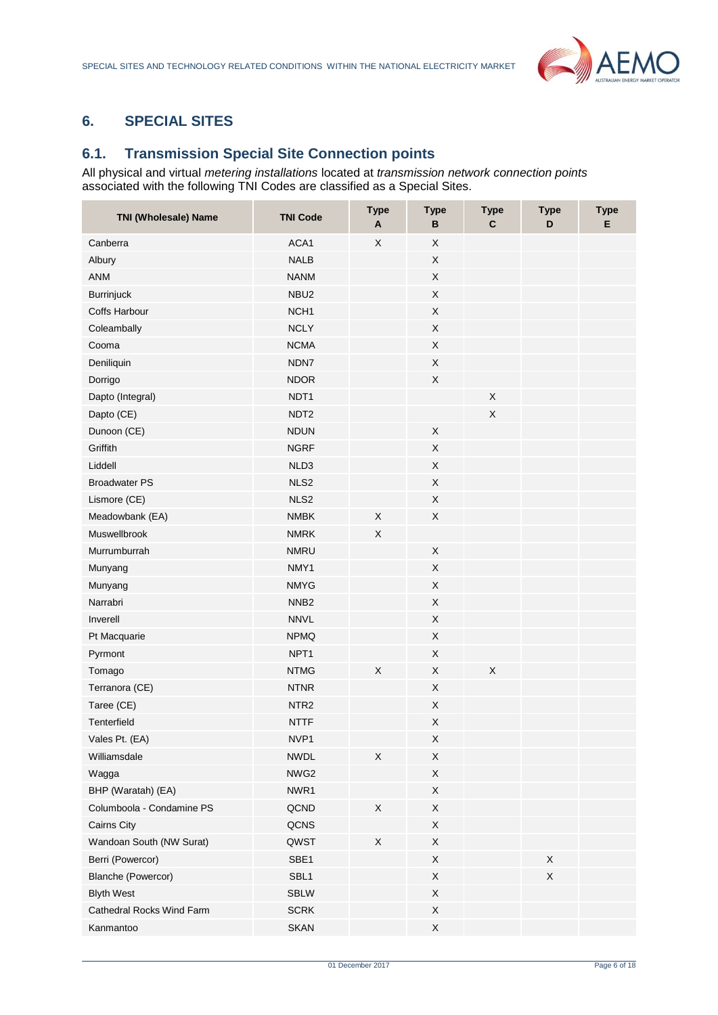

# <span id="page-5-0"></span>**6. SPECIAL SITES**

# <span id="page-5-1"></span>**6.1. Transmission Special Site Connection points**

All physical and virtual *metering installations* located at *transmission network connection points* associated with the following TNI Codes are classified as a Special Sites.

| <b>TNI (Wholesale) Name</b> | <b>TNI Code</b>  | <b>Type</b><br>A | <b>Type</b><br>в | <b>Type</b><br>$\mathbf{C}$ | <b>Type</b><br>D | <b>Type</b><br>Е |
|-----------------------------|------------------|------------------|------------------|-----------------------------|------------------|------------------|
| Canberra                    | ACA1             | X                | X                |                             |                  |                  |
| Albury                      | <b>NALB</b>      |                  | $\mathsf X$      |                             |                  |                  |
| <b>ANM</b>                  | <b>NANM</b>      |                  | X                |                             |                  |                  |
| <b>Burrinjuck</b>           | NBU <sub>2</sub> |                  | $\sf X$          |                             |                  |                  |
| Coffs Harbour               | NCH <sub>1</sub> |                  | $\sf X$          |                             |                  |                  |
| Coleambally                 | <b>NCLY</b>      |                  | X                |                             |                  |                  |
| Cooma                       | <b>NCMA</b>      |                  | $\mathsf X$      |                             |                  |                  |
| Deniliquin                  | NDN7             |                  | X                |                             |                  |                  |
| Dorrigo                     | <b>NDOR</b>      |                  | X                |                             |                  |                  |
| Dapto (Integral)            | NDT1             |                  |                  | $\mathsf X$                 |                  |                  |
| Dapto (CE)                  | NDT <sub>2</sub> |                  |                  | X                           |                  |                  |
| Dunoon (CE)                 | <b>NDUN</b>      |                  | X                |                             |                  |                  |
| Griffith                    | <b>NGRF</b>      |                  | $\sf X$          |                             |                  |                  |
| Liddell                     | NLD3             |                  | X                |                             |                  |                  |
| <b>Broadwater PS</b>        | NLS2             |                  | $\sf X$          |                             |                  |                  |
| Lismore (CE)                | NLS <sub>2</sub> |                  | X                |                             |                  |                  |
| Meadowbank (EA)             | <b>NMBK</b>      | Χ                | X                |                             |                  |                  |
| Muswellbrook                | <b>NMRK</b>      | X                |                  |                             |                  |                  |
| Murrumburrah                | <b>NMRU</b>      |                  | X                |                             |                  |                  |
| Munyang                     | NMY1             |                  | $\mathsf X$      |                             |                  |                  |
| Munyang                     | <b>NMYG</b>      |                  | $\mathsf X$      |                             |                  |                  |
| Narrabri                    | NNB <sub>2</sub> |                  | X                |                             |                  |                  |
| Inverell                    | <b>NNVL</b>      |                  | X                |                             |                  |                  |
| Pt Macquarie                | <b>NPMQ</b>      |                  | $\mathsf X$      |                             |                  |                  |
| Pyrmont                     | NPT <sub>1</sub> |                  | X                |                             |                  |                  |
| Tomago                      | <b>NTMG</b>      | X                | $\sf X$          | $\sf X$                     |                  |                  |
| Terranora (CE)              | <b>NTNR</b>      |                  | X                |                             |                  |                  |
| Taree (CE)                  | NTR <sub>2</sub> |                  | X                |                             |                  |                  |
| Tenterfield                 | <b>NTTF</b>      |                  | $\mathsf X$      |                             |                  |                  |
| Vales Pt. (EA)              | NVP1             |                  | X                |                             |                  |                  |
| Williamsdale                | <b>NWDL</b>      | X                | X                |                             |                  |                  |
| Wagga                       | NWG2             |                  | X                |                             |                  |                  |
| BHP (Waratah) (EA)          | NWR1             |                  | X                |                             |                  |                  |
| Columboola - Condamine PS   | QCND             | X                | $\mathsf X$      |                             |                  |                  |
| Cairns City                 | QCNS             |                  | Χ                |                             |                  |                  |
| Wandoan South (NW Surat)    | QWST             | X                | X                |                             |                  |                  |
| Berri (Powercor)            | SBE1             |                  | X                |                             | $\mathsf X$      |                  |
| <b>Blanche (Powercor)</b>   | SBL1             |                  | Χ                |                             | Χ                |                  |
| <b>Blyth West</b>           | <b>SBLW</b>      |                  | X                |                             |                  |                  |
| Cathedral Rocks Wind Farm   | <b>SCRK</b>      |                  | X                |                             |                  |                  |
| Kanmantoo                   | <b>SKAN</b>      |                  | X                |                             |                  |                  |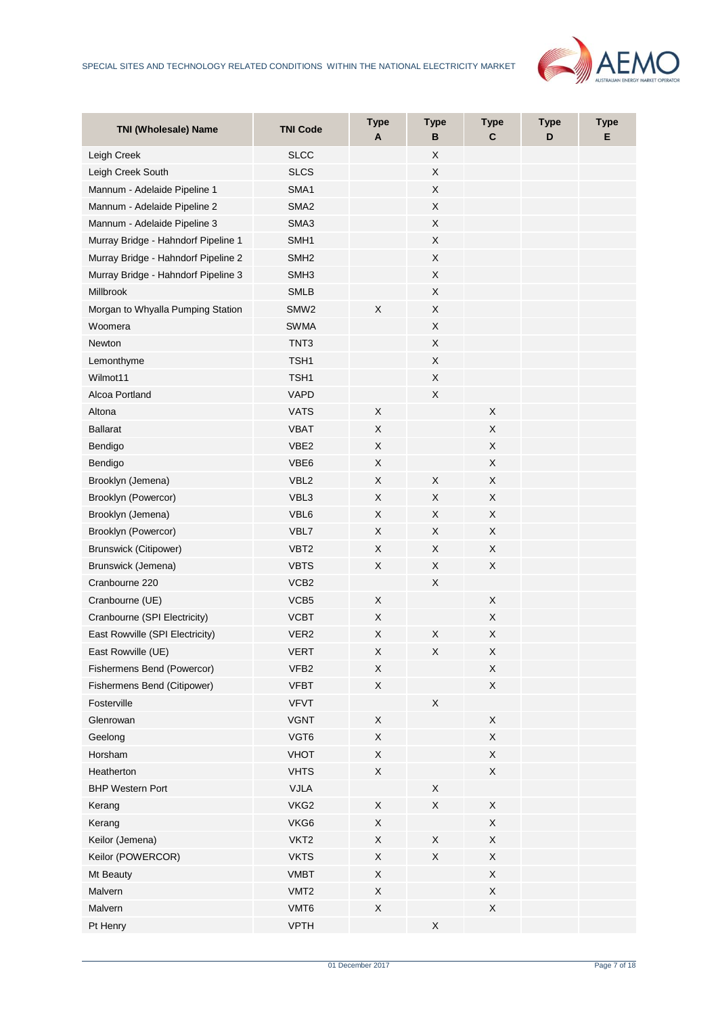

| <b>TNI (Wholesale) Name</b>         | <b>TNI Code</b>  | <b>Type</b><br>A | <b>Type</b><br>в | <b>Type</b><br>C | <b>Type</b><br>D | <b>Type</b><br>Е |
|-------------------------------------|------------------|------------------|------------------|------------------|------------------|------------------|
| Leigh Creek                         | <b>SLCC</b>      |                  | X                |                  |                  |                  |
| Leigh Creek South                   | <b>SLCS</b>      |                  | X                |                  |                  |                  |
| Mannum - Adelaide Pipeline 1        | SMA1             |                  | X                |                  |                  |                  |
| Mannum - Adelaide Pipeline 2        | SMA <sub>2</sub> |                  | $\mathsf X$      |                  |                  |                  |
| Mannum - Adelaide Pipeline 3        | SMA3             |                  | X                |                  |                  |                  |
| Murray Bridge - Hahndorf Pipeline 1 | SMH1             |                  | $\mathsf X$      |                  |                  |                  |
| Murray Bridge - Hahndorf Pipeline 2 | SMH <sub>2</sub> |                  | X                |                  |                  |                  |
| Murray Bridge - Hahndorf Pipeline 3 | SMH <sub>3</sub> |                  | X                |                  |                  |                  |
| Millbrook                           | <b>SMLB</b>      |                  | $\sf X$          |                  |                  |                  |
| Morgan to Whyalla Pumping Station   | SMW <sub>2</sub> | X                | X                |                  |                  |                  |
| Woomera                             | <b>SWMA</b>      |                  | X                |                  |                  |                  |
| Newton                              | TNT3             |                  | $\mathsf X$      |                  |                  |                  |
| Lemonthyme                          | TSH1             |                  | X                |                  |                  |                  |
| Wilmot11                            | TSH1             |                  | X                |                  |                  |                  |
| Alcoa Portland                      | <b>VAPD</b>      |                  | X                |                  |                  |                  |
| Altona                              | <b>VATS</b>      | X                |                  | X                |                  |                  |
| <b>Ballarat</b>                     | <b>VBAT</b>      | X                |                  | X                |                  |                  |
| Bendigo                             | VBE2             | X                |                  | $\sf X$          |                  |                  |
| Bendigo                             | VBE6             | X                |                  | X                |                  |                  |
| Brooklyn (Jemena)                   | VBL <sub>2</sub> | X                | $\sf X$          | $\sf X$          |                  |                  |
| Brooklyn (Powercor)                 | VBL3             | X                | X                | X                |                  |                  |
| Brooklyn (Jemena)                   | VBL6             | X                | X                | X                |                  |                  |
| Brooklyn (Powercor)                 | VBL7             | X                | X                | X                |                  |                  |
| Brunswick (Citipower)               | VBT <sub>2</sub> | X                | X                | X                |                  |                  |
| Brunswick (Jemena)                  | <b>VBTS</b>      | X                | X                | X                |                  |                  |
| Cranbourne 220                      | VCB <sub>2</sub> |                  | X                |                  |                  |                  |
| Cranbourne (UE)                     | VCB5             | X                |                  | X                |                  |                  |
| Cranbourne (SPI Electricity)        | <b>VCBT</b>      | X                |                  | X                |                  |                  |
| East Rowville (SPI Electricity)     | VER <sub>2</sub> | Χ                | Χ                | X                |                  |                  |
| East Rowville (UE)                  | <b>VERT</b>      | х                | X                | X                |                  |                  |
| Fishermens Bend (Powercor)          | VFB2             | X                |                  | $\mathsf X$      |                  |                  |
| Fishermens Bend (Citipower)         | <b>VFBT</b>      | X                |                  | X                |                  |                  |
| Fosterville                         | <b>VFVT</b>      |                  | X                |                  |                  |                  |
| Glenrowan                           | <b>VGNT</b>      | X                |                  | $\mathsf X$      |                  |                  |
| Geelong                             | VGT6             | X                |                  | Χ                |                  |                  |
| Horsham                             | <b>VHOT</b>      | X                |                  | X                |                  |                  |
| Heatherton                          | <b>VHTS</b>      | X                |                  | X                |                  |                  |
| <b>BHP Western Port</b>             | VJLA             |                  | X                |                  |                  |                  |
| Kerang                              | VKG2             | $\mathsf X$      | $\mathsf X$      | X                |                  |                  |
| Kerang                              | VKG6             | X                |                  | Χ                |                  |                  |
| Keilor (Jemena)                     | VKT <sub>2</sub> | X                | X                | X                |                  |                  |
| Keilor (POWERCOR)                   | <b>VKTS</b>      | X                | $\mathsf X$      | X                |                  |                  |
| Mt Beauty                           | <b>VMBT</b>      | X                |                  | Χ                |                  |                  |
| Malvern                             | VMT <sub>2</sub> | X                |                  | X                |                  |                  |
| Malvern                             | VMT6             | $\mathsf X$      |                  | X                |                  |                  |
| Pt Henry                            | <b>VPTH</b>      |                  | X                |                  |                  |                  |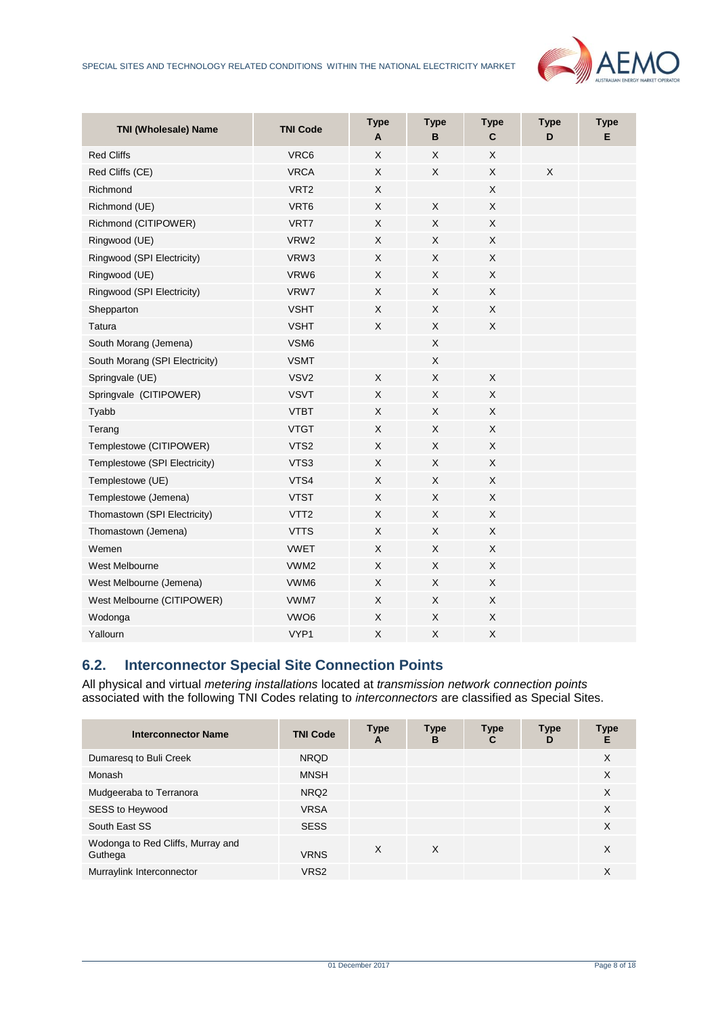

| <b>TNI (Wholesale) Name</b>    | <b>TNI Code</b>  | <b>Type</b><br>A | <b>Type</b><br>B | <b>Type</b><br>$\mathbf{C}$ | <b>Type</b><br>D | <b>Type</b><br>E |
|--------------------------------|------------------|------------------|------------------|-----------------------------|------------------|------------------|
| <b>Red Cliffs</b>              | VRC6             | X                | X                | X                           |                  |                  |
| Red Cliffs (CE)                | <b>VRCA</b>      | X                | X                | X                           | $\mathsf X$      |                  |
| Richmond                       | VRT <sub>2</sub> | X                |                  | X                           |                  |                  |
| Richmond (UE)                  | VRT6             | X                | X                | X                           |                  |                  |
| Richmond (CITIPOWER)           | VRT7             | X                | X                | X                           |                  |                  |
| Ringwood (UE)                  | VRW <sub>2</sub> | X                | X                | X                           |                  |                  |
| Ringwood (SPI Electricity)     | VRW3             | X                | X                | X                           |                  |                  |
| Ringwood (UE)                  | VRW6             | X                | X                | X                           |                  |                  |
| Ringwood (SPI Electricity)     | VRW7             | X                | X                | X                           |                  |                  |
| Shepparton                     | <b>VSHT</b>      | X                | X                | X                           |                  |                  |
| <b>Tatura</b>                  | <b>VSHT</b>      | X                | X                | X                           |                  |                  |
| South Morang (Jemena)          | VSM6             |                  | X                |                             |                  |                  |
| South Morang (SPI Electricity) | <b>VSMT</b>      |                  | X                |                             |                  |                  |
| Springvale (UE)                | VSV <sub>2</sub> | X                | $\mathsf X$      | X                           |                  |                  |
| Springvale (CITIPOWER)         | <b>VSVT</b>      | X                | X                | X                           |                  |                  |
| Tyabb                          | <b>VTBT</b>      | X                | X                | X                           |                  |                  |
| Terang                         | <b>VTGT</b>      | X                | X                | X                           |                  |                  |
| Templestowe (CITIPOWER)        | VTS2             | X                | X                | X                           |                  |                  |
| Templestowe (SPI Electricity)  | VTS3             | $\times$         | $\times$         | X                           |                  |                  |
| Templestowe (UE)               | VTS4             | X                | X                | X                           |                  |                  |
| Templestowe (Jemena)           | <b>VTST</b>      | X                | X                | X                           |                  |                  |
| Thomastown (SPI Electricity)   | VTT <sub>2</sub> | X                | X                | X                           |                  |                  |
| Thomastown (Jemena)            | <b>VTTS</b>      | X                | X                | X                           |                  |                  |
| Wemen                          | <b>VWET</b>      | X                | X                | X                           |                  |                  |
| West Melbourne                 | VWM <sub>2</sub> | X                | X                | X                           |                  |                  |
| West Melbourne (Jemena)        | VWM6             | X                | X                | X                           |                  |                  |
| West Melbourne (CITIPOWER)     | VWM7             | X                | X                | X                           |                  |                  |
| Wodonga                        | VWO <sub>6</sub> | $\sf X$          | $\mathsf X$      | $\sf X$                     |                  |                  |
| Yallourn                       | VYP <sub>1</sub> | X                | X                | Χ                           |                  |                  |

# <span id="page-7-0"></span>**6.2. Interconnector Special Site Connection Points**

All physical and virtual *metering installations* located at *transmission network connection points* associated with the following TNI Codes relating to *interconnectors* are classified as Special Sites.

| <b>Interconnector Name</b>                   | <b>TNI Code</b>  | <b>Type</b><br>A | <b>Type</b><br>B | <b>Type</b><br>С | Type<br>D | Type<br>Е |
|----------------------------------------------|------------------|------------------|------------------|------------------|-----------|-----------|
| Dumaresq to Buli Creek                       | <b>NROD</b>      |                  |                  |                  |           | X         |
| Monash                                       | <b>MNSH</b>      |                  |                  |                  |           | X         |
| Mudgeeraba to Terranora                      | NRQ <sub>2</sub> |                  |                  |                  |           | X         |
| SESS to Heywood                              | <b>VRSA</b>      |                  |                  |                  |           | X         |
| South East SS                                | <b>SESS</b>      |                  |                  |                  |           | X         |
| Wodonga to Red Cliffs, Murray and<br>Guthega | <b>VRNS</b>      | X                | X                |                  |           | X         |
| Murraylink Interconnector                    | VRS <sub>2</sub> |                  |                  |                  |           | X         |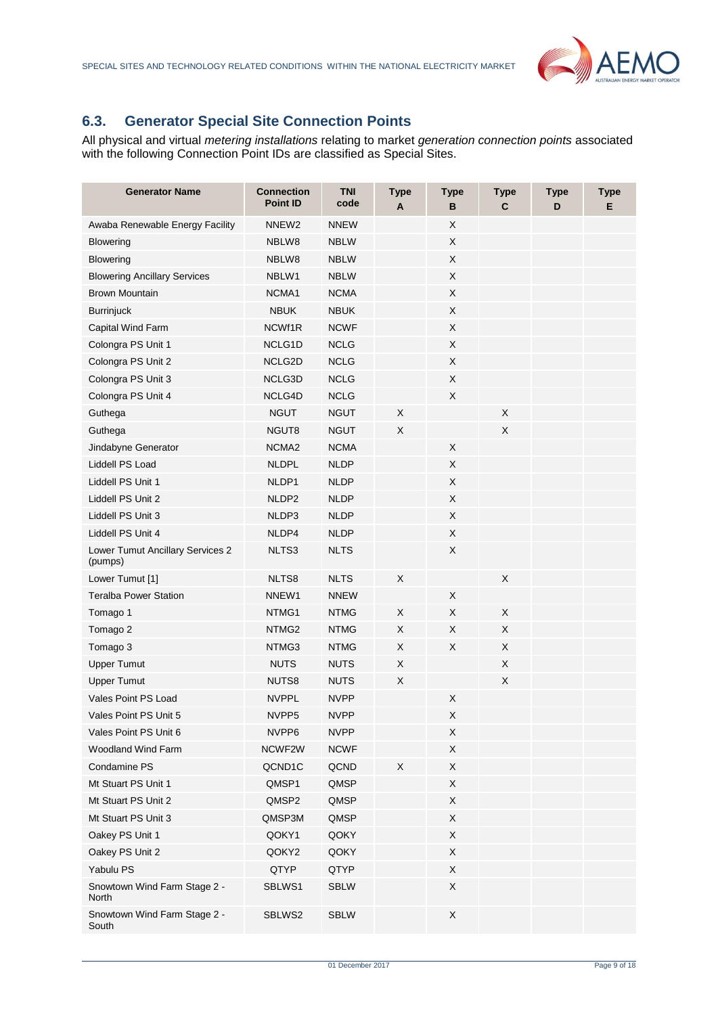

# <span id="page-8-0"></span>**6.3. Generator Special Site Connection Points**

All physical and virtual *metering installations* relating to market *generation connection points* associated with the following Connection Point IDs are classified as Special Sites.

| <b>Generator Name</b>                       | <b>Connection</b><br><b>Point ID</b> | <b>TNI</b><br>code | <b>Type</b><br>A | <b>Type</b><br>в | <b>Type</b><br>С | <b>Type</b><br>D | <b>Type</b><br>Е |
|---------------------------------------------|--------------------------------------|--------------------|------------------|------------------|------------------|------------------|------------------|
| Awaba Renewable Energy Facility             | NNEW <sub>2</sub>                    | <b>NNEW</b>        |                  | X                |                  |                  |                  |
| <b>Blowering</b>                            | NBLW8                                | <b>NBLW</b>        |                  | X                |                  |                  |                  |
| <b>Blowering</b>                            | NBLW8                                | <b>NBLW</b>        |                  | X                |                  |                  |                  |
| <b>Blowering Ancillary Services</b>         | NBLW1                                | <b>NBLW</b>        |                  | X                |                  |                  |                  |
| <b>Brown Mountain</b>                       | NCMA1                                | <b>NCMA</b>        |                  | X                |                  |                  |                  |
| <b>Burrinjuck</b>                           | <b>NBUK</b>                          | <b>NBUK</b>        |                  | X                |                  |                  |                  |
| Capital Wind Farm                           | NCWf1R                               | <b>NCWF</b>        |                  | X                |                  |                  |                  |
| Colongra PS Unit 1                          | NCLG1D                               | <b>NCLG</b>        |                  | X                |                  |                  |                  |
| Colongra PS Unit 2                          | NCLG2D                               | <b>NCLG</b>        |                  | X                |                  |                  |                  |
| Colongra PS Unit 3                          | NCLG3D                               | <b>NCLG</b>        |                  | X                |                  |                  |                  |
| Colongra PS Unit 4                          | NCLG4D                               | <b>NCLG</b>        |                  | X                |                  |                  |                  |
| Guthega                                     | <b>NGUT</b>                          | <b>NGUT</b>        | X                |                  | X                |                  |                  |
| Guthega                                     | NGUT8                                | <b>NGUT</b>        | X                |                  | X                |                  |                  |
| Jindabyne Generator                         | NCMA <sub>2</sub>                    | <b>NCMA</b>        |                  | X                |                  |                  |                  |
| Liddell PS Load                             | <b>NLDPL</b>                         | <b>NLDP</b>        |                  | X                |                  |                  |                  |
| Liddell PS Unit 1                           | NLDP1                                | <b>NLDP</b>        |                  | X                |                  |                  |                  |
| Liddell PS Unit 2                           | NLDP <sub>2</sub>                    | <b>NLDP</b>        |                  | X                |                  |                  |                  |
| Liddell PS Unit 3                           | NLDP3                                | <b>NLDP</b>        |                  | X                |                  |                  |                  |
| Liddell PS Unit 4                           | NLDP4                                | <b>NLDP</b>        |                  | X                |                  |                  |                  |
| Lower Tumut Ancillary Services 2<br>(pumps) | NLTS3                                | <b>NLTS</b>        |                  | X                |                  |                  |                  |
| Lower Tumut [1]                             | NLTS8                                | <b>NLTS</b>        | X                |                  | X                |                  |                  |
| <b>Teralba Power Station</b>                | NNEW1                                | <b>NNEW</b>        |                  | X                |                  |                  |                  |
| Tomago 1                                    | NTMG1                                | <b>NTMG</b>        | X                | X                | Χ                |                  |                  |
| Tomago 2                                    | NTMG2                                | <b>NTMG</b>        | X                | X                | X                |                  |                  |
| Tomago 3                                    | NTMG3                                | <b>NTMG</b>        | X                | X                | X                |                  |                  |
| <b>Upper Tumut</b>                          | <b>NUTS</b>                          | <b>NUTS</b>        | X                |                  | X                |                  |                  |
| <b>Upper Tumut</b>                          | NUTS8                                | <b>NUTS</b>        | X                |                  | X                |                  |                  |
| Vales Point PS Load                         | <b>NVPPL</b>                         | <b>NVPP</b>        |                  | X                |                  |                  |                  |
| Vales Point PS Unit 5                       | NVPP <sub>5</sub>                    | <b>NVPP</b>        |                  | X                |                  |                  |                  |
| Vales Point PS Unit 6                       | NVPP6                                | <b>NVPP</b>        |                  | X                |                  |                  |                  |
| <b>Woodland Wind Farm</b>                   | NCWF2W                               | <b>NCWF</b>        |                  | X                |                  |                  |                  |
| Condamine PS                                | QCND1C                               | QCND               | X                | $\mathsf X$      |                  |                  |                  |
| Mt Stuart PS Unit 1                         | QMSP1                                | QMSP               |                  | X                |                  |                  |                  |
| Mt Stuart PS Unit 2                         | QMSP2                                | QMSP               |                  | X                |                  |                  |                  |
| Mt Stuart PS Unit 3                         | QMSP3M                               | QMSP               |                  | X                |                  |                  |                  |
| Oakey PS Unit 1                             | QOKY1                                | QOKY               |                  | X                |                  |                  |                  |
| Oakey PS Unit 2                             | QOKY2                                | QOKY               |                  | X                |                  |                  |                  |
| Yabulu PS                                   | QTYP                                 | QTYP               |                  | X                |                  |                  |                  |
| Snowtown Wind Farm Stage 2 -<br>North       | SBLWS1                               | <b>SBLW</b>        |                  | X                |                  |                  |                  |
| Snowtown Wind Farm Stage 2 -<br>South       | SBLWS2                               | <b>SBLW</b>        |                  | X                |                  |                  |                  |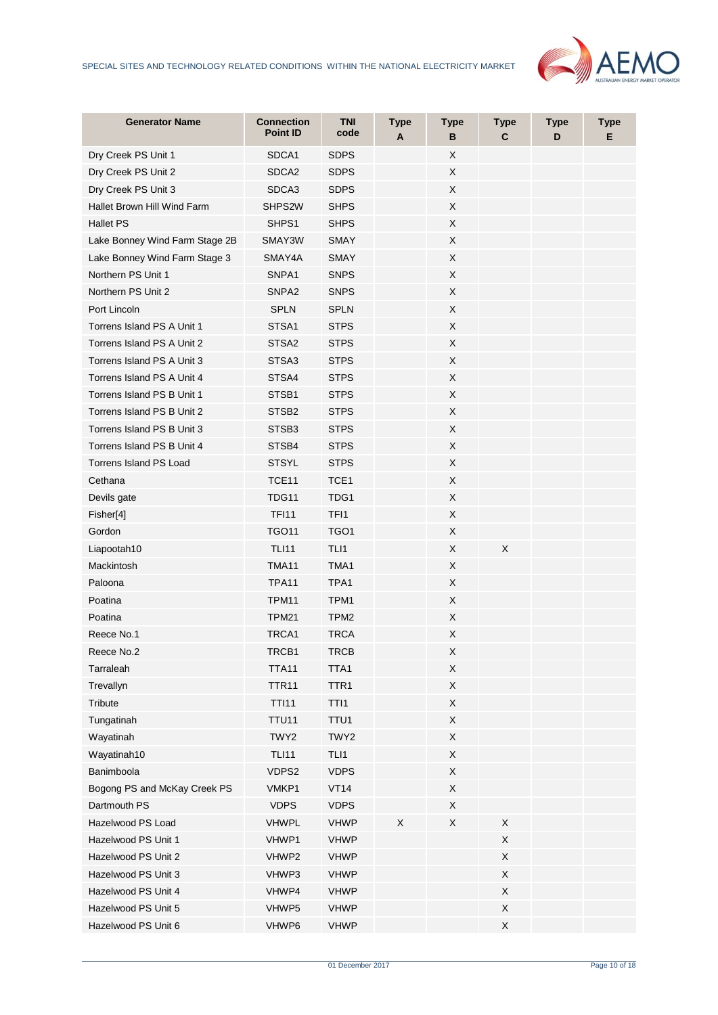

| <b>Generator Name</b>          | <b>Connection</b><br><b>Point ID</b> | <b>TNI</b><br>code | <b>Type</b><br>A | <b>Type</b><br>в          | <b>Type</b><br>C | <b>Type</b><br>D | <b>Type</b><br>E. |
|--------------------------------|--------------------------------------|--------------------|------------------|---------------------------|------------------|------------------|-------------------|
| Dry Creek PS Unit 1            | SDCA1                                | <b>SDPS</b>        |                  | X                         |                  |                  |                   |
| Dry Creek PS Unit 2            | SDCA <sub>2</sub>                    | <b>SDPS</b>        |                  | X                         |                  |                  |                   |
| Dry Creek PS Unit 3            | SDCA3                                | <b>SDPS</b>        |                  | X                         |                  |                  |                   |
| Hallet Brown Hill Wind Farm    | SHPS2W                               | <b>SHPS</b>        |                  | X                         |                  |                  |                   |
| <b>Hallet PS</b>               | SHPS1                                | <b>SHPS</b>        |                  | X                         |                  |                  |                   |
| Lake Bonney Wind Farm Stage 2B | SMAY3W                               | <b>SMAY</b>        |                  | X                         |                  |                  |                   |
| Lake Bonney Wind Farm Stage 3  | SMAY4A                               | <b>SMAY</b>        |                  | X                         |                  |                  |                   |
| Northern PS Unit 1             | SNPA1                                | <b>SNPS</b>        |                  | X                         |                  |                  |                   |
| Northern PS Unit 2             | SNPA <sub>2</sub>                    | <b>SNPS</b>        |                  | X                         |                  |                  |                   |
| Port Lincoln                   | <b>SPLN</b>                          | <b>SPLN</b>        |                  | X                         |                  |                  |                   |
| Torrens Island PS A Unit 1     | STSA1                                | <b>STPS</b>        |                  | X                         |                  |                  |                   |
| Torrens Island PS A Unit 2     | STSA <sub>2</sub>                    | <b>STPS</b>        |                  | X                         |                  |                  |                   |
| Torrens Island PS A Unit 3     | STSA3                                | <b>STPS</b>        |                  | X                         |                  |                  |                   |
| Torrens Island PS A Unit 4     | STSA4                                | <b>STPS</b>        |                  | X                         |                  |                  |                   |
| Torrens Island PS B Unit 1     | STSB1                                | <b>STPS</b>        |                  | X                         |                  |                  |                   |
| Torrens Island PS B Unit 2     | STSB <sub>2</sub>                    | <b>STPS</b>        |                  | X                         |                  |                  |                   |
| Torrens Island PS B Unit 3     | STSB <sub>3</sub>                    | <b>STPS</b>        |                  | X                         |                  |                  |                   |
| Torrens Island PS B Unit 4     | STSB4                                | <b>STPS</b>        |                  | X                         |                  |                  |                   |
| Torrens Island PS Load         | <b>STSYL</b>                         | <b>STPS</b>        |                  | X                         |                  |                  |                   |
| Cethana                        | TCE <sub>11</sub>                    | TCE <sub>1</sub>   |                  | X                         |                  |                  |                   |
| Devils gate                    | TDG11                                | TDG1               |                  | X                         |                  |                  |                   |
| Fisher[4]                      | <b>TFI11</b>                         | TF <sub>11</sub>   |                  | X                         |                  |                  |                   |
| Gordon                         | <b>TGO11</b>                         | TGO <sub>1</sub>   |                  | X                         |                  |                  |                   |
| Liapootah10                    | <b>TLI11</b>                         | TLI1               |                  | X                         | X                |                  |                   |
| Mackintosh                     | TMA11                                | TMA1               |                  | X                         |                  |                  |                   |
| Paloona                        | <b>TPA11</b>                         | TPA1               |                  | X                         |                  |                  |                   |
| Poatina                        | TPM11                                | TPM1               |                  | X                         |                  |                  |                   |
| Poatina                        | <b>TPM21</b>                         | TPM <sub>2</sub>   |                  | X                         |                  |                  |                   |
| Reece No.1                     | TRCA1                                | TRCA               |                  | X                         |                  |                  |                   |
| Reece No.2                     | TRCB1                                | <b>TRCB</b>        |                  | X                         |                  |                  |                   |
| Tarraleah                      | TTA11                                | TTA1               |                  | X                         |                  |                  |                   |
| Trevallyn                      | <b>TTR11</b>                         | TTR <sub>1</sub>   |                  | X                         |                  |                  |                   |
| Tribute                        | <b>TTI11</b>                         | TTI1               |                  | $\boldsymbol{\mathsf{X}}$ |                  |                  |                   |
| Tungatinah                     | <b>TTU11</b>                         | TTU1               |                  | X                         |                  |                  |                   |
| Wayatinah                      | TWY2                                 | TWY2               |                  | X                         |                  |                  |                   |
| Wayatinah10                    | <b>TLI11</b>                         | TLI1               |                  | $\mathsf X$               |                  |                  |                   |
| Banimboola                     | VDPS2                                | <b>VDPS</b>        |                  | X                         |                  |                  |                   |
| Bogong PS and McKay Creek PS   | VMKP1                                | <b>VT14</b>        |                  | $\mathsf X$               |                  |                  |                   |
| Dartmouth PS                   | <b>VDPS</b>                          | <b>VDPS</b>        |                  | X                         |                  |                  |                   |
| Hazelwood PS Load              | <b>VHWPL</b>                         | <b>VHWP</b>        | X                | X                         | X                |                  |                   |
| Hazelwood PS Unit 1            | VHWP1                                | <b>VHWP</b>        |                  |                           | X                |                  |                   |
| Hazelwood PS Unit 2            | VHWP2                                | <b>VHWP</b>        |                  |                           | X                |                  |                   |
| Hazelwood PS Unit 3            | VHWP3                                | <b>VHWP</b>        |                  |                           | X                |                  |                   |
| Hazelwood PS Unit 4            | VHWP4                                | <b>VHWP</b>        |                  |                           | Χ                |                  |                   |
| Hazelwood PS Unit 5            | VHWP5                                | <b>VHWP</b>        |                  |                           | X                |                  |                   |
| Hazelwood PS Unit 6            | VHWP6                                | <b>VHWP</b>        |                  |                           | X                |                  |                   |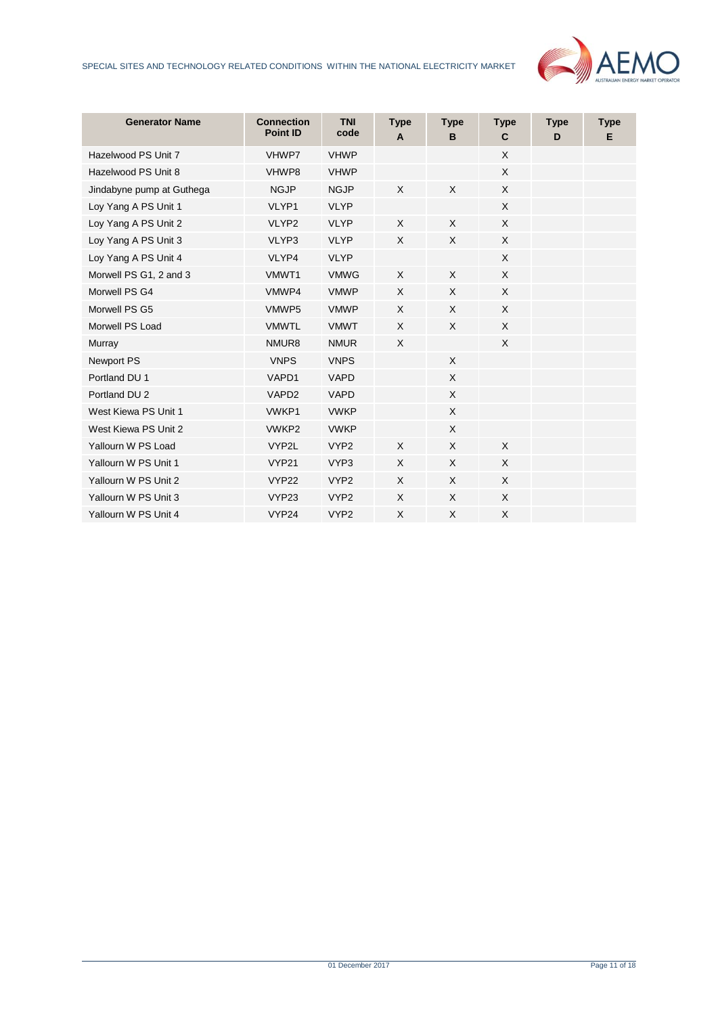

| <b>Generator Name</b>     | <b>Connection</b><br><b>Point ID</b> | <b>TNI</b><br>code | <b>Type</b><br>A | <b>Type</b><br>B | <b>Type</b><br>C | <b>Type</b><br>D | <b>Type</b><br>Е |
|---------------------------|--------------------------------------|--------------------|------------------|------------------|------------------|------------------|------------------|
| Hazelwood PS Unit 7       | VHWP7                                | <b>VHWP</b>        |                  |                  | X                |                  |                  |
| Hazelwood PS Unit 8       | VHWP8                                | <b>VHWP</b>        |                  |                  | X                |                  |                  |
| Jindabyne pump at Guthega | <b>NGJP</b>                          | <b>NGJP</b>        | X                | X                | X                |                  |                  |
| Loy Yang A PS Unit 1      | VLYP1                                | <b>VLYP</b>        |                  |                  | $\sf X$          |                  |                  |
| Loy Yang A PS Unit 2      | VLYP2                                | <b>VLYP</b>        | X                | X                | $\sf X$          |                  |                  |
| Loy Yang A PS Unit 3      | VLYP3                                | <b>VLYP</b>        | X                | X                | X                |                  |                  |
| Loy Yang A PS Unit 4      | VLYP4                                | <b>VLYP</b>        |                  |                  | X                |                  |                  |
| Morwell PS G1, 2 and 3    | VMWT1                                | <b>VMWG</b>        | $\times$         | X                | $\mathsf{X}$     |                  |                  |
| Morwell PS G4             | VMWP4                                | <b>VMWP</b>        | X                | X                | $\sf X$          |                  |                  |
| Morwell PS G5             | VMWP5                                | <b>VMWP</b>        | X                | X                | $\sf X$          |                  |                  |
| Morwell PS Load           | <b>VMWTL</b>                         | <b>VMWT</b>        | X                | X                | $\times$         |                  |                  |
| Murray                    | NMUR8                                | <b>NMUR</b>        | X                |                  | X                |                  |                  |
| Newport PS                | <b>VNPS</b>                          | <b>VNPS</b>        |                  | X                |                  |                  |                  |
| Portland DU 1             | VAPD1                                | <b>VAPD</b>        |                  | X                |                  |                  |                  |
| Portland DU 2             | VAPD <sub>2</sub>                    | <b>VAPD</b>        |                  | X                |                  |                  |                  |
| West Kiewa PS Unit 1      | VWKP1                                | <b>VWKP</b>        |                  | X                |                  |                  |                  |
| West Kiewa PS Unit 2      | VWKP2                                | <b>VWKP</b>        |                  | X                |                  |                  |                  |
| Yallourn W PS Load        | VYP2L                                | VYP <sub>2</sub>   | X                | X                | $\times$         |                  |                  |
| Yallourn W PS Unit 1      | <b>VYP21</b>                         | VYP3               | X                | X                | $\mathsf{X}$     |                  |                  |
| Yallourn W PS Unit 2      | <b>VYP22</b>                         | VYP <sub>2</sub>   | X                | X                | $\times$         |                  |                  |
| Yallourn W PS Unit 3      | VYP23                                | VYP <sub>2</sub>   | $\times$         | X                | X                |                  |                  |
| Yallourn W PS Unit 4      | VYP24                                | VYP <sub>2</sub>   | X                | X                | X                |                  |                  |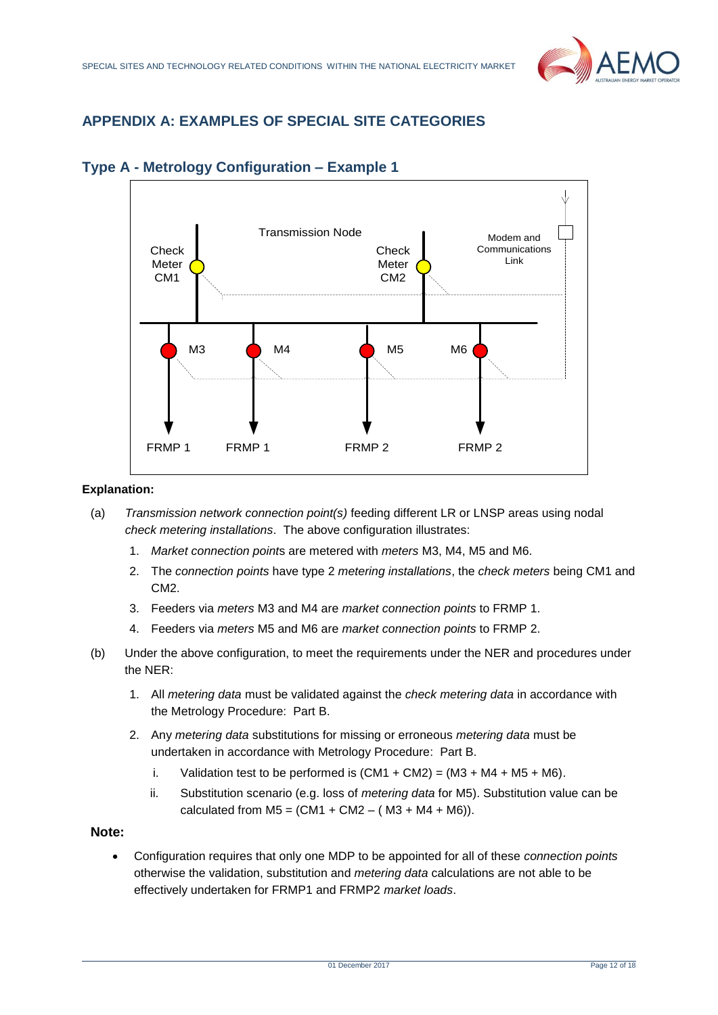

# <span id="page-11-0"></span>**APPENDIX A: EXAMPLES OF SPECIAL SITE CATEGORIES**



# <span id="page-11-1"></span>**Type A - Metrology Configuration – Example 1**

#### **Explanation:**

- (a) *Transmission network connection point(s)* feeding different LR or LNSP areas using nodal *check metering installations*. The above configuration illustrates:
	- 1. *Market connection point*s are metered with *meters* M3, M4, M5 and M6.
	- 2. The *connection points* have type 2 *metering installations*, the *check meters* being CM1 and CM<sub>2</sub>.
	- 3. Feeders via *meters* M3 and M4 are *market connection points* to FRMP 1.
	- 4. Feeders via *meters* M5 and M6 are *market connection points* to FRMP 2.
- (b) Under the above configuration, to meet the requirements under the NER and procedures under the NER:
	- 1. All *metering data* must be validated against the *check metering data* in accordance with the Metrology Procedure: Part B.
	- 2. Any *metering data* substitutions for missing or erroneous *metering data* must be undertaken in accordance with Metrology Procedure: Part B.
		- i. Validation test to be performed is  $(CM1 + CM2) = (M3 + M4 + M5 + M6)$ .
		- ii. Substitution scenario (e.g. loss of *metering data* for M5). Substitution value can be calculated from  $M5 = (CM1 + CM2 - (M3 + M4 + M6)).$

## **Note:**

• Configuration requires that only one MDP to be appointed for all of these *connection points* otherwise the validation, substitution and *metering data* calculations are not able to be effectively undertaken for FRMP1 and FRMP2 *market loads*.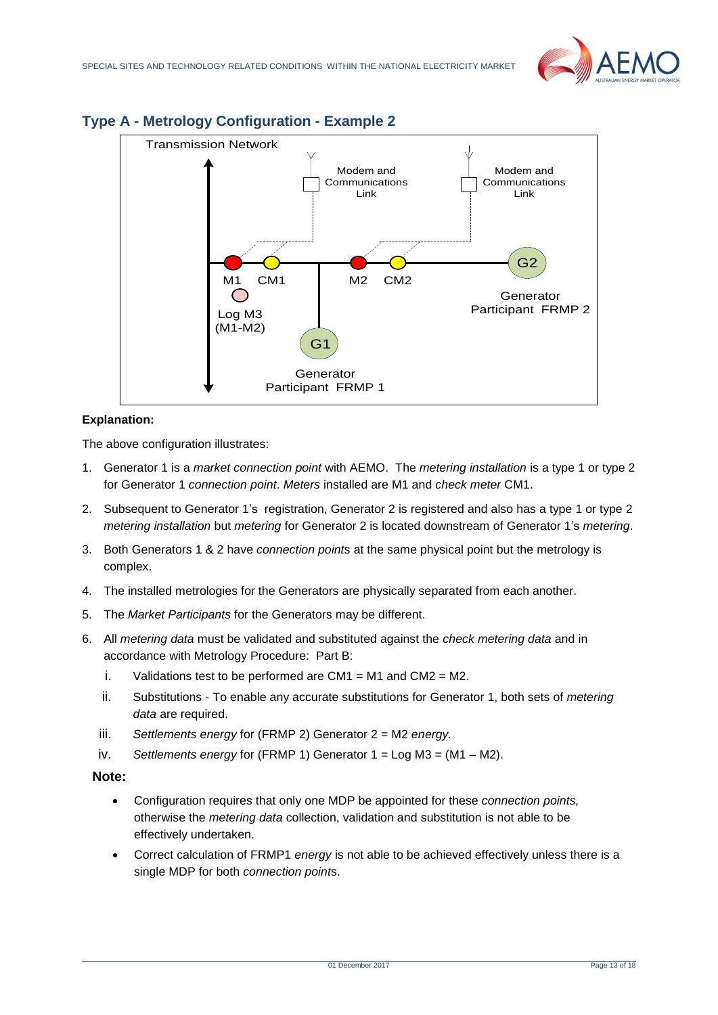



# <span id="page-12-0"></span>**Type A - Metrology Configuration - Example 2**

#### **Explanation:**

The above configuration illustrates:

- 1. Generator 1 is a *market connection point* with AEMO. The *metering installation* is a type 1 or type 2 for Generator 1 *connection point*. *Meters* installed are M1 and *check meter* CM1.
- 2. Subsequent to Generator 1's registration, Generator 2 is registered and also has a type 1 or type 2 *metering installation* but *metering* for Generator 2 is located downstream of Generator 1's *metering*.
- 3. Both Generators 1 & 2 have *connection point*s at the same physical point but the metrology is complex.
- 4. The installed metrologies for the Generators are physically separated from each another.
- 5. The *Market Participants* for the Generators may be different.
- 6. All *metering data* must be validated and substituted against the *check metering data* and in accordance with Metrology Procedure: Part B:
	- i. Validations test to be performed are  $CM1 = M1$  and  $CM2 = M2$ .
	- ii. Substitutions To enable any accurate substitutions for Generator 1, both sets of *metering data* are required.
	- iii. *Settlements energy* for (FRMP 2) Generator 2 = M2 *energy.*
	- iv. *Settlements energy* for (FRMP 1) Generator 1 = Log M3 = (M1 M2).
	- **Note:**
		- Configuration requires that only one MDP be appointed for these *connection points,* otherwise the *metering data* collection, validation and substitution is not able to be effectively undertaken.
		- Correct calculation of FRMP1 *energy* is not able to be achieved effectively unless there is a single MDP for both *connection point*s.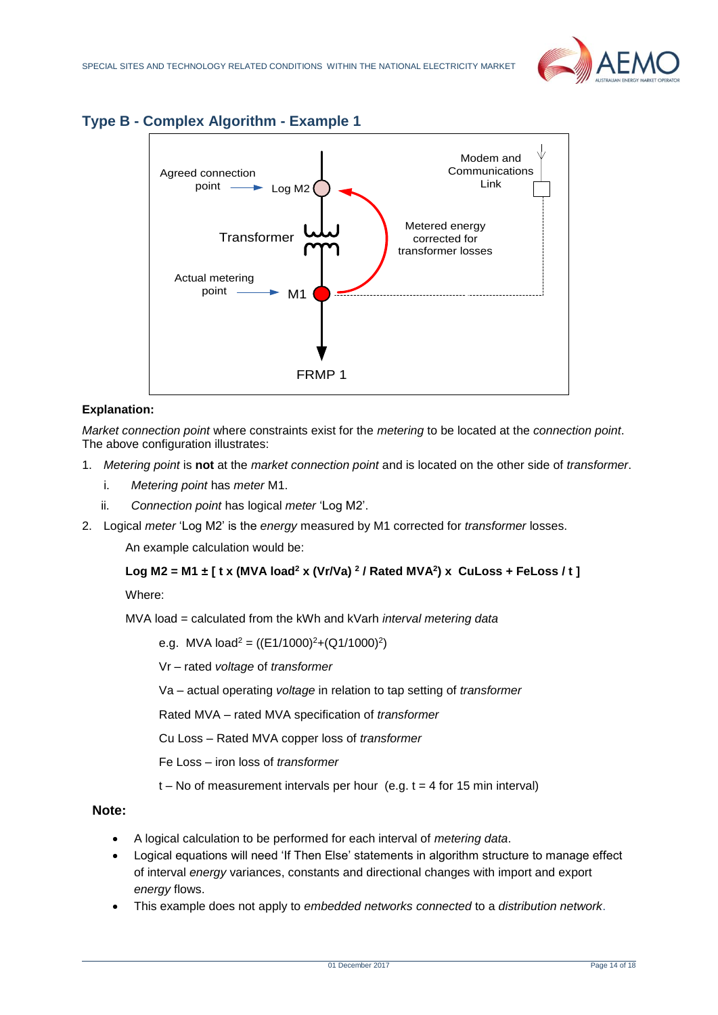

<span id="page-13-0"></span>



# **Explanation:**

*Market connection point* where constraints exist for the *metering* to be located at the *connection point*. The above configuration illustrates:

- 1. *Metering point* is **not** at the *market connection point* and is located on the other side of *transformer*.
	- i. *Metering point* has *meter* M1.
	- ii. *Connection point* has logical *meter* 'Log M2'.
- 2. Logical *meter* 'Log M2' is the *energy* measured by M1 corrected for *transformer* losses.

An example calculation would be:

# **Log M2 = M1 ± [ t x (MVA load<sup>2</sup> x (Vr/Va) <sup>2</sup> / Rated MVA<sup>2</sup> ) x CuLoss + FeLoss / t ]**

Where:

MVA load = calculated from the kWh and kVarh *interval metering data*

e.g. MVA load<sup>2</sup> = ((E1/1000)<sup>2</sup>+(Q1/1000)<sup>2</sup>)

Vr – rated *voltage* of *transformer*

Va – actual operating *voltage* in relation to tap setting of *transformer*

Rated MVA – rated MVA specification of *transformer*

Cu Loss – Rated MVA copper loss of *transformer*

Fe Loss – iron loss of *transformer*

 $t - No$  of measurement intervals per hour (e.g.  $t = 4$  for 15 min interval)

- A logical calculation to be performed for each interval of *metering data*.
- Logical equations will need 'If Then Else' statements in algorithm structure to manage effect of interval *energy* variances, constants and directional changes with import and export *energy* flows.
- This example does not apply to *embedded networks connected* to a *distribution network*.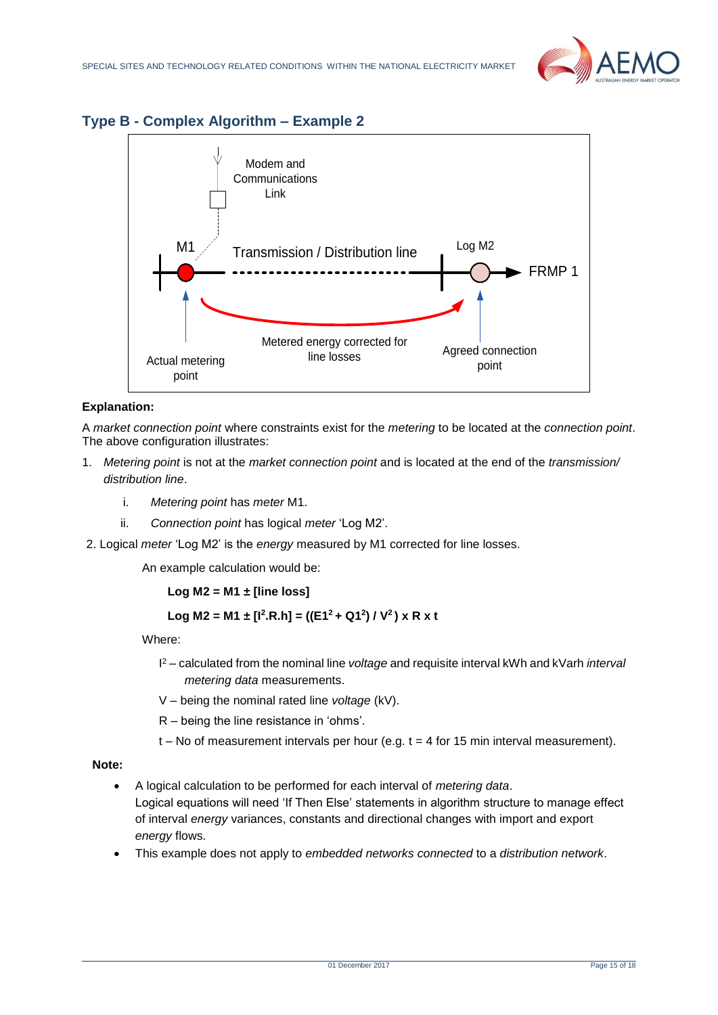

# <span id="page-14-0"></span>**Type B - Complex Algorithm – Example 2**



## **Explanation:**

A *market connection point* where constraints exist for the *metering* to be located at the *connection point*. The above configuration illustrates:

- 1. *Metering point* is not at the *market connection point* and is located at the end of the *transmission/ distribution line*.
	- i. *Metering point* has *meter* M1.
	- ii. *Connection point* has logical *meter* 'Log M2'.
- 2. Logical *meter* 'Log M2' is the *energy* measured by M1 corrected for line losses.

An example calculation would be:

**Log M2 = M1 ± [line loss]**

$$
Log M2 = M1 \pm [l^2.R.h] = ((E1^2 + Q1^2) / V^2) \times R \times t
$$

Where:

- I <sup>2</sup> calculated from the nominal line *voltage* and requisite interval kWh and kVarh *interval metering data* measurements.
- V being the nominal rated line *voltage* (kV).
- R being the line resistance in 'ohms'.
- $t No$  of measurement intervals per hour (e.g.  $t = 4$  for 15 min interval measurement).

- A logical calculation to be performed for each interval of *metering data*. Logical equations will need 'If Then Else' statements in algorithm structure to manage effect of interval *energy* variances, constants and directional changes with import and export *energy* flows.
- This example does not apply to *embedded networks connected* to a *distribution network*.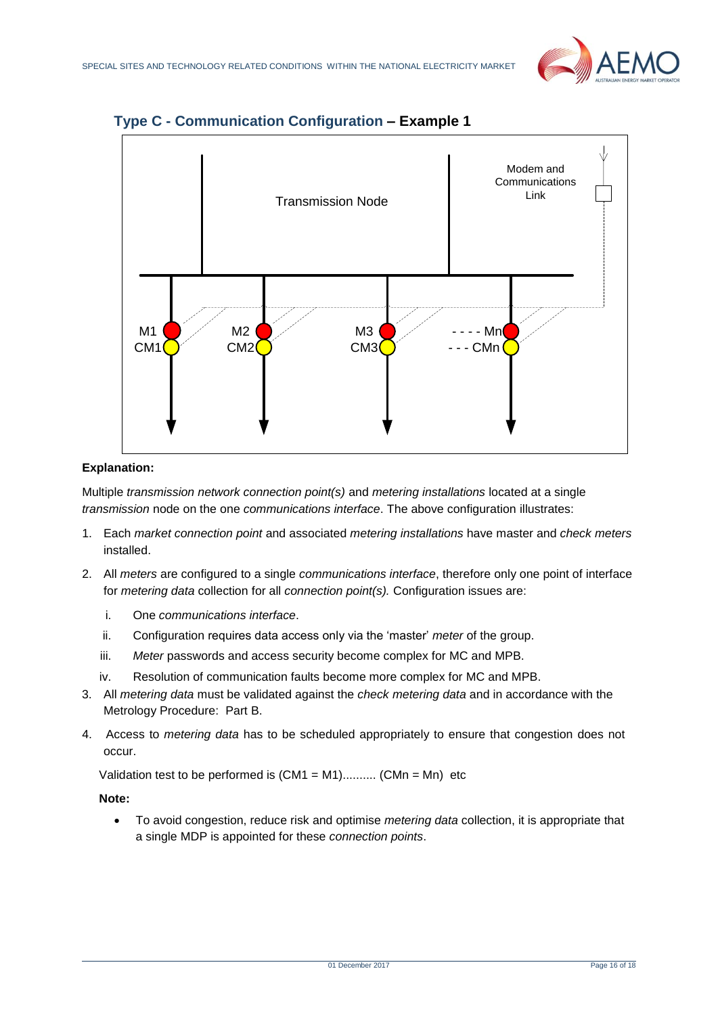



# <span id="page-15-0"></span>**Type C - Communication Configuration – Example 1**

## **Explanation:**

Multiple *transmission network connection point(s)* and *metering installations* located at a single *transmission* node on the one *communications interface*. The above configuration illustrates:

- 1. Each *market connection point* and associated *metering installations* have master and *check meters* installed.
- 2. All *meters* are configured to a single *communications interface*, therefore only one point of interface for *metering data* collection for all *connection point(s).* Configuration issues are:
	- i. One *communications interface*.
	- ii. Configuration requires data access only via the 'master' *meter* of the group.
	- iii. *Meter* passwords and access security become complex for MC and MPB.
	- iv. Resolution of communication faults become more complex for MC and MPB.
- 3. All *metering data* must be validated against the *check metering data* and in accordance with the Metrology Procedure: Part B.
- 4. Access to *metering data* has to be scheduled appropriately to ensure that congestion does not occur.

Validation test to be performed is  $(CM1 = M1)$ ..........  $(CMn = Mn)$  etc

#### **Note:**

• To avoid congestion, reduce risk and optimise *metering data* collection, it is appropriate that a single MDP is appointed for these *connection points*.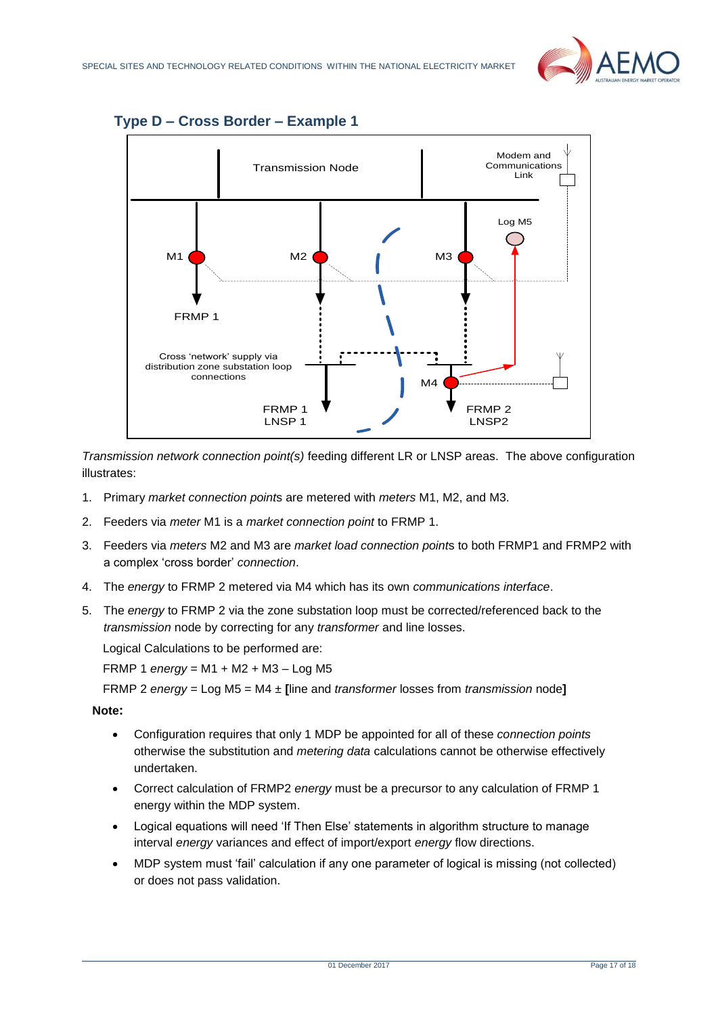![](_page_16_Picture_1.jpeg)

<span id="page-16-0"></span>![](_page_16_Figure_2.jpeg)

*Transmission network connection point(s)* feeding different LR or LNSP areas. The above configuration illustrates:

- 1. Primary *market connection point*s are metered with *meters* M1, M2, and M3.
- 2. Feeders via *meter* M1 is a *market connection point* to FRMP 1.
- 3. Feeders via *meters* M2 and M3 are *market load connection point*s to both FRMP1 and FRMP2 with a complex 'cross border' *connection*.
- 4. The *energy* to FRMP 2 metered via M4 which has its own *communications interface*.
- 5. The *energy* to FRMP 2 via the zone substation loop must be corrected/referenced back to the *transmission* node by correcting for any *transformer* and line losses.

Logical Calculations to be performed are:

FRMP 1 *energy* = M1 + M2 + M3 – Log M5

FRMP 2 *energy* = Log M5 = M4 ± **[**line and *transformer* losses from *transmission* node**]**

- Configuration requires that only 1 MDP be appointed for all of these *connection points* otherwise the substitution and *metering data* calculations cannot be otherwise effectively undertaken.
- Correct calculation of FRMP2 *energy* must be a precursor to any calculation of FRMP 1 energy within the MDP system.
- Logical equations will need 'If Then Else' statements in algorithm structure to manage interval *energy* variances and effect of import/export *energy* flow directions.
- MDP system must 'fail' calculation if any one parameter of logical is missing (not collected) or does not pass validation.